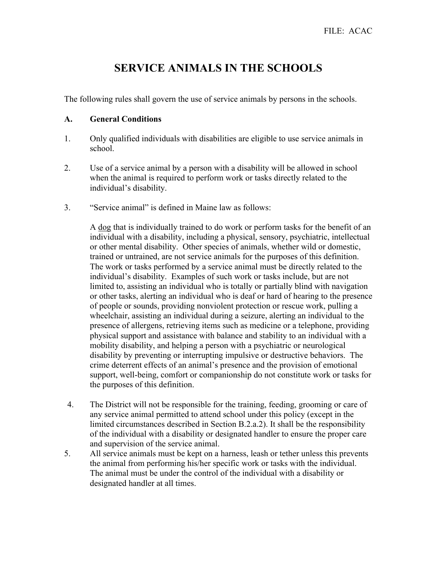# **SERVICE ANIMALS IN THE SCHOOLS**

The following rules shall govern the use of service animals by persons in the schools.

### **A. General Conditions**

- 1. Only qualified individuals with disabilities are eligible to use service animals in school.
- 2. Use of a service animal by a person with a disability will be allowed in school when the animal is required to perform work or tasks directly related to the individual's disability.
- 3. "Service animal" is defined in Maine law as follows:

A dog that is individually trained to do work or perform tasks for the benefit of an individual with a disability, including a physical, sensory, psychiatric, intellectual or other mental disability. Other species of animals, whether wild or domestic, trained or untrained, are not service animals for the purposes of this definition. The work or tasks performed by a service animal must be directly related to the individual's disability. Examples of such work or tasks include, but are not limited to, assisting an individual who is totally or partially blind with navigation or other tasks, alerting an individual who is deaf or hard of hearing to the presence of people or sounds, providing nonviolent protection or rescue work, pulling a wheelchair, assisting an individual during a seizure, alerting an individual to the presence of allergens, retrieving items such as medicine or a telephone, providing physical support and assistance with balance and stability to an individual with a mobility disability, and helping a person with a psychiatric or neurological disability by preventing or interrupting impulsive or destructive behaviors. The crime deterrent effects of an animal's presence and the provision of emotional support, well-being, comfort or companionship do not constitute work or tasks for the purposes of this definition.

- 4. The District will not be responsible for the training, feeding, grooming or care of any service animal permitted to attend school under this policy (except in the limited circumstances described in Section B.2.a.2). It shall be the responsibility of the individual with a disability or designated handler to ensure the proper care and supervision of the service animal.
- 5. All service animals must be kept on a harness, leash or tether unless this prevents the animal from performing his/her specific work or tasks with the individual. The animal must be under the control of the individual with a disability or designated handler at all times.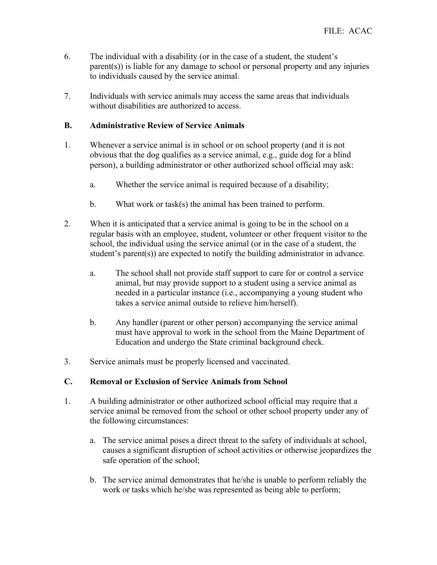- 6. The individual with a disability (or in the case of a student, the student's parent(s)) is liable for any damage to school or personal property and any injuries to individuals caused by the service animal.
- 7. Individuals with service animals may access the same areas that individuals without disabilities are authorized to access.

## **B. Administrative Review of Service Animals**

- 1. Whenever a service animal is in school or on school property (and it is not obvious that the dog qualifies as a service animal, e.g., guide dog for a blind person), a building administrator or other authorized school official may ask:
	- a. Whether the service animal is required because of a disability;
	- b. What work or task(s) the animal has been trained to perform.
- 2. When it is anticipated that a service animal is going to be in the school on a regular basis with an employee, student, volunteer or other frequent visitor to the school, the individual using the service animal (or in the case of a student, the student's parent(s)) are expected to notify the building administrator in advance.
	- a. The school shall not provide staff support to care for or control a service animal, but may provide support to a student using a service animal as needed in a particular instance (i.e., accompanying a young student who takes a service animal outside to relieve him/herself).
	- b. Any handler (parent or other person) accompanying the service animal must have approval to work in the school from the Maine Department of Education and undergo the State criminal background check.
- 3. Service animals must be properly licensed and vaccinated.

#### **C. Removal or Exclusion of Service Animals from School**

- 1. A building administrator or other authorized school official may require that a service animal be removed from the school or other school property under any of the following circumstances:
	- a. The service animal poses a direct threat to the safety of individuals at school, causes a significant disruption of school activities or otherwise jeopardizes the safe operation of the school;
	- b. The service animal demonstrates that he/she is unable to perform reliably the work or tasks which he/she was represented as being able to perform;